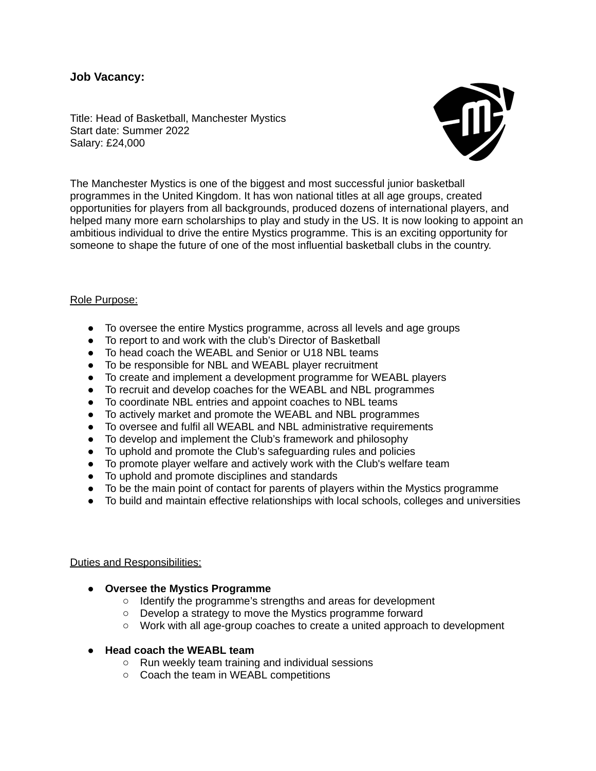# **Job Vacancy:**

Title: Head of Basketball, Manchester Mystics Start date: Summer 2022 Salary: £24,000



The Manchester Mystics is one of the biggest and most successful junior basketball programmes in the United Kingdom. It has won national titles at all age groups, created opportunities for players from all backgrounds, produced dozens of international players, and helped many more earn scholarships to play and study in the US. It is now looking to appoint an ambitious individual to drive the entire Mystics programme. This is an exciting opportunity for someone to shape the future of one of the most influential basketball clubs in the country.

#### Role Purpose:

- To oversee the entire Mystics programme, across all levels and age groups
- To report to and work with the club's Director of Basketball
- To head coach the WEABL and Senior or U18 NBL teams
- To be responsible for NBL and WEABL player recruitment
- To create and implement a development programme for WEABL players
- To recruit and develop coaches for the WEABL and NBL programmes
- To coordinate NBL entries and appoint coaches to NBL teams
- To actively market and promote the WEABL and NBL programmes
- To oversee and fulfil all WEABL and NBL administrative requirements
- To develop and implement the Club's framework and philosophy
- To uphold and promote the Club's safeguarding rules and policies
- To promote player welfare and actively work with the Club's welfare team
- To uphold and promote disciplines and standards
- To be the main point of contact for parents of players within the Mystics programme
- **●** To build and maintain effective relationships with local schools, colleges and universities

## Duties and Responsibilities:

- **● Oversee the Mystics Programme**
	- Identify the programme's strengths and areas for development
	- Develop a strategy to move the Mystics programme forward
	- Work with all age-group coaches to create a united approach to development
- **● Head coach the WEABL team**
	- Run weekly team training and individual sessions
	- Coach the team in WEABL competitions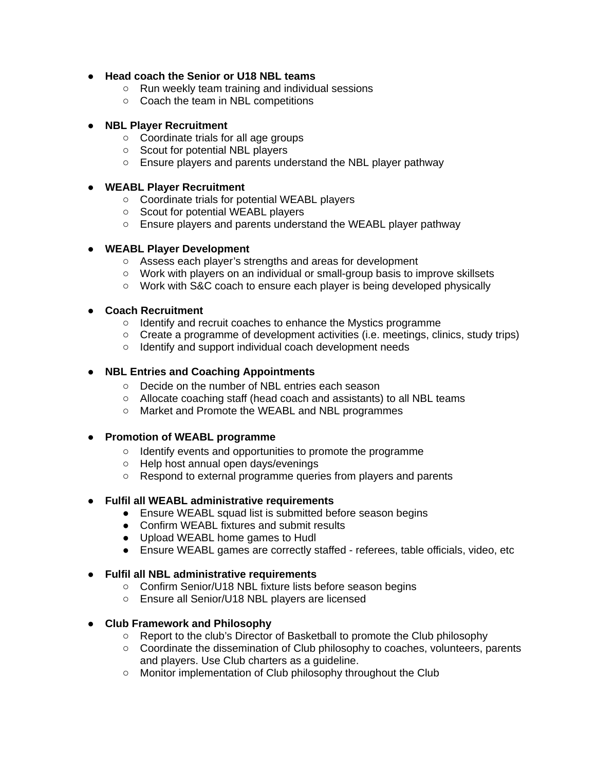# **● Head coach the Senior or U18 NBL teams**

- Run weekly team training and individual sessions
- Coach the team in NBL competitions

### **● NBL Player Recruitment**

- Coordinate trials for all age groups
- Scout for potential NBL players
- Ensure players and parents understand the NBL player pathway

### **● WEABL Player Recruitment**

- Coordinate trials for potential WEABL players
- Scout for potential WEABL players
- Ensure players and parents understand the WEABL player pathway

## **● WEABL Player Development**

- Assess each player's strengths and areas for development
- Work with players on an individual or small-group basis to improve skillsets
- Work with S&C coach to ensure each player is being developed physically

## **● Coach Recruitment**

- Identify and recruit coaches to enhance the Mystics programme
- $\circ$  Create a programme of development activities (i.e. meetings, clinics, study trips)
- Identify and support individual coach development needs

## **● NBL Entries and Coaching Appointments**

- Decide on the number of NBL entries each season
- Allocate coaching staff (head coach and assistants) to all NBL teams
- Market and Promote the WEABL and NBL programmes

#### **● Promotion of WEABL programme**

- Identify events and opportunities to promote the programme
- Help host annual open days/evenings
- Respond to external programme queries from players and parents

## **● Fulfil all WEABL administrative requirements**

- Ensure WEABL squad list is submitted before season begins
- Confirm WEABL fixtures and submit results
- Upload WEABL home games to Hudl
- Ensure WEABL games are correctly staffed referees, table officials, video, etc

## **● Fulfil all NBL administrative requirements**

- Confirm Senior/U18 NBL fixture lists before season begins
- Ensure all Senior/U18 NBL players are licensed

## **● Club Framework and Philosophy**

- Report to the club's Director of Basketball to promote the Club philosophy
- Coordinate the dissemination of Club philosophy to coaches, volunteers, parents and players. Use Club charters as a guideline.
- Monitor implementation of Club philosophy throughout the Club